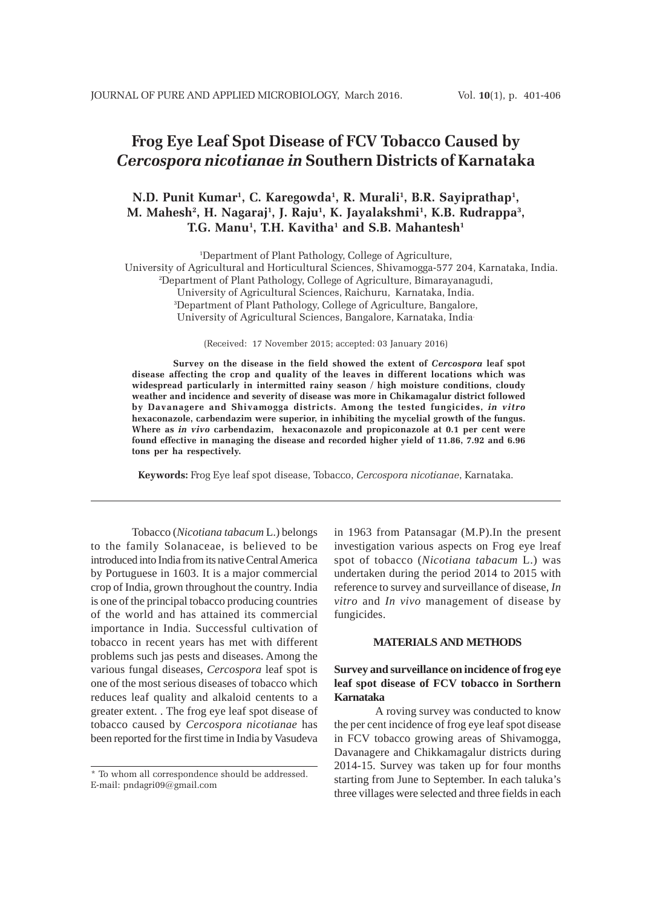# **Frog Eye Leaf Spot Disease of FCV Tobacco Caused by** *Cercospora nicotianae in* **Southern Districts of Karnataka**

# **N.D. Punit Kumar1 , C. Karegowda1 , R. Murali1 , B.R. Sayiprathap1 ,** M. Mahesh², H. Nagaraj<sup>1</sup>, J. Raju<sup>1</sup>, K. Jayalakshmi<sup>1</sup>, K.B. Rudrappa<sup>3</sup>, **T.G. Manu1 , T.H. Kavitha1 and S.B. Mahantesh1**

1 Department of Plant Pathology, College of Agriculture, University of Agricultural and Horticultural Sciences, Shivamogga-577 204, Karnataka, India. 2 Department of Plant Pathology, College of Agriculture, Bimarayanagudi, University of Agricultural Sciences, Raichuru, Karnataka, India. 3 Department of Plant Pathology, College of Agriculture, Bangalore, University of Agricultural Sciences, Bangalore, Karnataka, India.

(Received: 17 November 2015; accepted: 03 January 2016)

**Survey on the disease in the field showed the extent of** *Cercospora* **leaf spot disease affecting the crop and quality of the leaves in different locations which was widespread particularly in intermitted rainy season / high moisture conditions, cloudy weather and incidence and severity of disease was more in Chikamagalur district followed by Davanagere and Shivamogga districts. Among the tested fungicides,** *in vitro* **hexaconazole, carbendazim were superior, in inhibiting the mycelial growth of the fungus. Where as** *in vivo* **carbendazim, hexaconazole and propiconazole at 0.1 per cent were found effective in managing the disease and recorded higher yield of 11.86, 7.92 and 6.96 tons per ha respectively.**

**Keywords:** Frog Eye leaf spot disease, Tobacco, *Cercospora nicotianae*, Karnataka.

Tobacco (*Nicotiana tabacum* L.) belongs to the family Solanaceae, is believed to be introduced into India from its native Central America by Portuguese in 1603. It is a major commercial crop of India, grown throughout the country. India is one of the principal tobacco producing countries of the world and has attained its commercial importance in India. Successful cultivation of tobacco in recent years has met with different problems such jas pests and diseases. Among the various fungal diseases, *Cercospora* leaf spot is one of the most serious diseases of tobacco which reduces leaf quality and alkaloid centents to a greater extent. . The frog eye leaf spot disease of tobacco caused by *Cercospora nicotianae* has been reported for the first time in India by Vasudeva

in 1963 from Patansagar (M.P).In the present investigation various aspects on Frog eye lreaf spot of tobacco (*Nicotiana tabacum* L.) was undertaken during the period 2014 to 2015 with reference to survey and surveillance of disease, *In vitro* and *In vivo* management of disease by fungicides.

#### **MATERIALS AND METHODS**

# **Survey and surveillance on incidence of frog eye leaf spot disease of FCV tobacco in Sorthern Karnataka**

A roving survey was conducted to know the per cent incidence of frog eye leaf spot disease in FCV tobacco growing areas of Shivamogga, Davanagere and Chikkamagalur districts during 2014-15. Survey was taken up for four months starting from June to September. In each taluka's three villages were selected and three fields in each

<sup>\*</sup> To whom all correspondence should be addressed. E-mail: pndagri09@gmail.com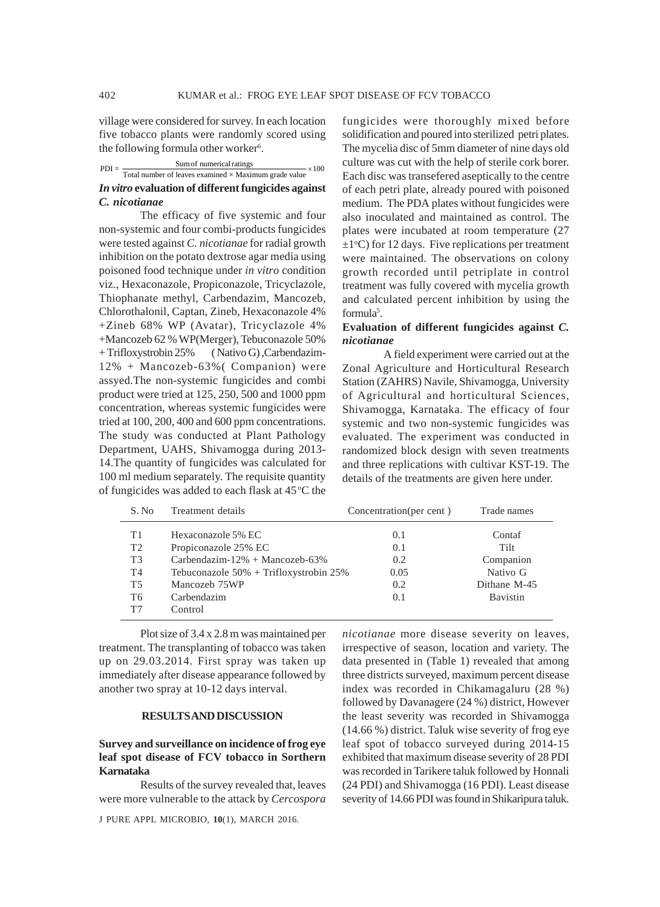village were considered for survey. In each location five tobacco plants were randomly scored using the following formula other worker<sup>6</sup>.

| $PDI = -$ | Sum of numerical ratings<br>$\frac{1}{2}$ × 100                                                                                                 |  |
|-----------|-------------------------------------------------------------------------------------------------------------------------------------------------|--|
|           | the contract of the contract of the contract of the contract of the contract of<br>Total number of leaves examined $\times$ Maximum grade value |  |
|           | In vitro evaluation of different fungicides against                                                                                             |  |
|           | C. nicotianae                                                                                                                                   |  |

The efficacy of five systemic and four non-systemic and four combi-products fungicides were tested against *C. nicotianae* for radial growth inhibition on the potato dextrose agar media using poisoned food technique under *in vitro* condition viz., Hexaconazole, Propiconazole, Tricyclazole, Thiophanate methyl, Carbendazim, Mancozeb, Chlorothalonil, Captan, Zineb, Hexaconazole 4% +Zineb 68% WP (Avatar), Tricyclazole 4% +Mancozeb 62 % WP(Merger), Tebuconazole 50% + Trifloxystrobin 25% ( Nativo G) ,Carbendazim-12% + Mancozeb-63%( Companion) were assyed.The non-systemic fungicides and combi product were tried at 125, 250, 500 and 1000 ppm concentration, whereas systemic fungicides were tried at 100, 200, 400 and 600 ppm concentrations. The study was conducted at Plant Pathology Department, UAHS, Shivamogga during 2013- 14.The quantity of fungicides was calculated for 100 ml medium separately. The requisite quantity of fungicides was added to each flask at  $45^{\circ}$ C the

fungicides were thoroughly mixed before solidification and poured into sterilized petri plates. The mycelia disc of 5mm diameter of nine days old culture was cut with the help of sterile cork borer. Each disc was transefered aseptically to the centre of each petri plate, already poured with poisoned medium. The PDA plates without fungicides were also inoculated and maintained as control. The plates were incubated at room temperature (27  $\pm 1$ <sup>o</sup>C) for 12 days. Five replications per treatment were maintained. The observations on colony growth recorded until petriplate in control treatment was fully covered with mycelia growth and calculated percent inhibition by using the formula<sup>5</sup>.

### **Evaluation of different fungicides against** *C. nicotianae*

A field experiment were carried out at the Zonal Agriculture and Horticultural Research Station (ZAHRS) Navile, Shivamogga, University of Agricultural and horticultural Sciences, Shivamogga, Karnataka. The efficacy of four systemic and two non-systemic fungicides was evaluated. The experiment was conducted in randomized block design with seven treatments and three replications with cultivar KST-19. The details of the treatments are given here under.

| S. No.         | Treatment details                          | Concentration(per cent) | Trade names  |
|----------------|--------------------------------------------|-------------------------|--------------|
| T1             | Hexaconazole 5% EC                         | 0.1                     | Contaf       |
| T <sub>2</sub> | Propiconazole 25% EC                       | 0.1                     | Tilt         |
| T <sub>3</sub> | Carbendazim- $12\% + \text{Mancozeb-63\%}$ | 0.2                     | Companion    |
| T4             | Tebuconazole $50\%$ + Trifloxystrobin 25%  | 0.05                    | Nativo G     |
| T <sub>5</sub> | Mancozeb 75WP                              | 0.2                     | Dithane M-45 |
| T6             | Carbendazim                                | 0.1                     | Bavistin     |
| T7             | Control                                    |                         |              |

Plot size of 3.4 x 2.8 m was maintained per treatment. The transplanting of tobacco was taken up on 29.03.2014. First spray was taken up immediately after disease appearance followed by another two spray at 10-12 days interval.

#### **RESULTS AND DISCUSSION**

# **Survey and surveillance on incidence of frog eye leaf spot disease of FCV tobacco in Sorthern Karnataka**

Results of the survey revealed that, leaves were more vulnerable to the attack by *Cercospora*

*nicotianae* more disease severity on leaves, irrespective of season, location and variety. The data presented in (Table 1) revealed that among three districts surveyed, maximum percent disease index was recorded in Chikamagaluru (28 %) followed by Davanagere (24 %) district, However the least severity was recorded in Shivamogga (14.66 %) district. Taluk wise severity of frog eye leaf spot of tobacco surveyed during 2014-15 exhibited that maximum disease severity of 28 PDI was recorded in Tarikere taluk followed by Honnali (24 PDI) and Shivamogga (16 PDI). Least disease severity of 14.66 PDI was found in Shikaripura taluk.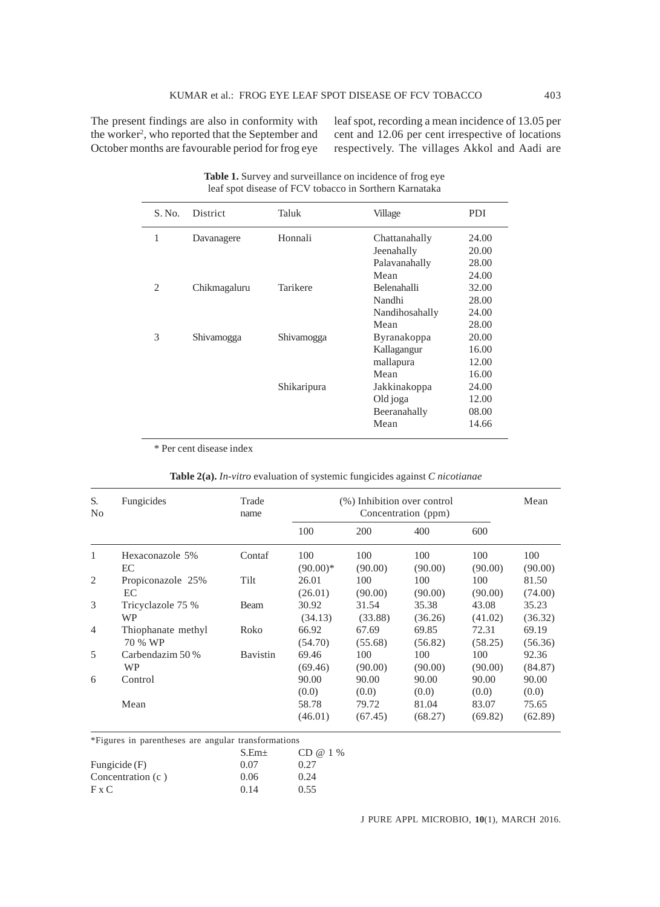The present findings are also in conformity with the worker<sup>2</sup>, who reported that the September and October months are favourable period for frog eye

leaf spot, recording a mean incidence of 13.05 per cent and 12.06 per cent irrespective of locations respectively. The villages Akkol and Aadi are

| S. No.         | <b>District</b> | Taluk       | Village            | PDI   |
|----------------|-----------------|-------------|--------------------|-------|
| 1              | Davanagere      | Honnali     | Chattanahally      | 24.00 |
|                |                 |             | Jeenahally         | 20.00 |
|                |                 |             | Palavanahally      | 28.00 |
|                |                 |             | Mean               | 24.00 |
| $\overline{c}$ | Chikmagaluru    | Tarikere    | <b>Belenahalli</b> | 32.00 |
|                |                 |             | Nandhi             | 28.00 |
|                |                 |             | Nandihosahally     | 24.00 |
|                |                 |             | Mean               | 28.00 |
| 3              | Shivamogga      | Shivamogga  | Byranakoppa        | 20.00 |
|                |                 |             | Kallagangur        | 16.00 |
|                |                 |             | mallapura          | 12.00 |
|                |                 |             | Mean               | 16.00 |
|                |                 | Shikaripura | Jakkinakoppa       | 24.00 |
|                |                 |             | Old joga           | 12.00 |
|                |                 |             | Beeranahally       | 08.00 |
|                |                 |             | Mean               | 14.66 |
|                |                 |             |                    |       |

Table 1. Survey and surveillance on incidence of frog eye leaf spot disease of FCV tobacco in Sorthern Karnataka

\* Per cent disease index

|  |  |  | Table 2(a). In-vitro evaluation of systemic fungicides against C nicotianae |
|--|--|--|-----------------------------------------------------------------------------|
|  |  |  |                                                                             |

| S.<br>N <sub>0</sub> | Fungicides         | Trade<br>name   | (%) Inhibition over control<br>Concentration (ppm) |         |         |         | Mean    |
|----------------------|--------------------|-----------------|----------------------------------------------------|---------|---------|---------|---------|
|                      |                    |                 | 100                                                | 200     | 400     |         |         |
| 1                    | Hexaconazole 5%    | Contaf          | 100                                                | 100     | 100     | 100     | 100     |
|                      | EC                 |                 | $(90.00)*$                                         | (90.00) | (90.00) | (90.00) | (90.00) |
| 2                    | Propiconazole 25%  | Tilt            | 26.01                                              | 100     | 100     | 100     | 81.50   |
|                      | EC                 |                 | (26.01)                                            | (90.00) | (90.00) | (90.00) | (74.00) |
| 3                    | Tricyclazole 75 %  | Beam            | 30.92                                              | 31.54   | 35.38   | 43.08   | 35.23   |
|                      | <b>WP</b>          |                 | (34.13)                                            | (33.88) | (36.26) | (41.02) | (36.32) |
| $\overline{4}$       | Thiophanate methyl | Roko            | 66.92                                              | 67.69   | 69.85   | 72.31   | 69.19   |
|                      | 70 % WP            |                 | (54.70)                                            | (55.68) | (56.82) | (58.25) | (56.36) |
| 5                    | Carbendazim 50 %   | <b>Bavistin</b> | 69.46                                              | 100     | 100     | 100     | 92.36   |
|                      | <b>WP</b>          |                 | (69.46)                                            | (90.00) | (90.00) | (90.00) | (84.87) |
| 6                    | Control            |                 | 90.00                                              | 90.00   | 90.00   | 90.00   | 90.00   |
|                      |                    |                 | (0.0)                                              | (0.0)   | (0.0)   | (0.0)   | (0.0)   |
|                      | Mean               |                 | 58.78                                              | 79.72   | 81.04   | 83.07   | 75.65   |
|                      |                    |                 | (46.01)                                            | (67.45) | (68.27) | (69.82) | (62.89) |

\*Figures in parentheses are angular transformations

|                   | S.Em <sub>±</sub> | CD @ 1 % |
|-------------------|-------------------|----------|
| Fungicide (F)     | 0.07              | 0.27     |
| Concentration (c) | 0.06              | 0.24     |
| F x C             | 0.14              | 0.55     |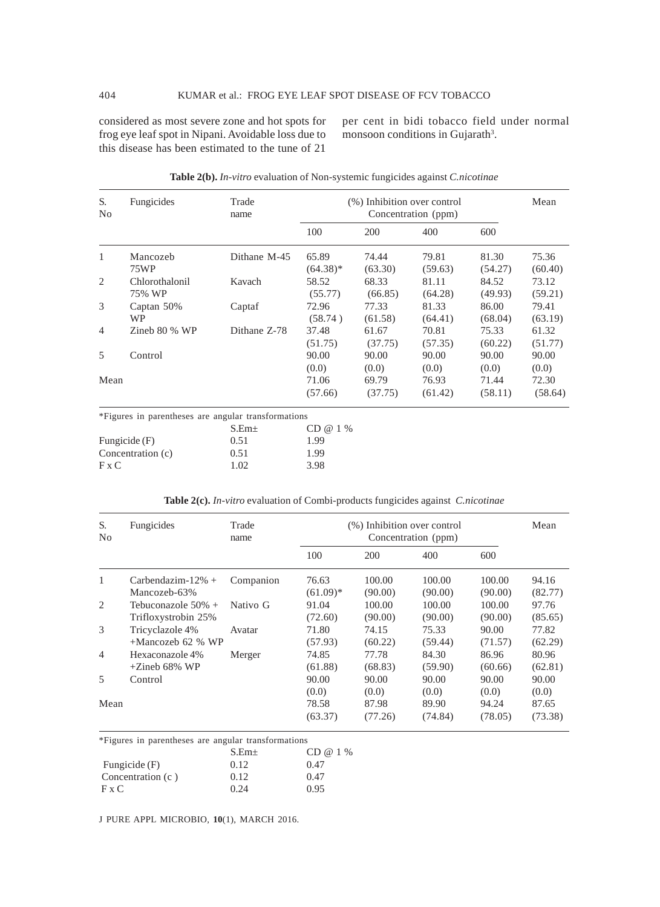considered as most severe zone and hot spots for frog eye leaf spot in Nipani. Avoidable loss due to this disease has been estimated to the tune of 21

per cent in bidi tobacco field under normal monsoon conditions in Gujarath<sup>3</sup>.

| S.<br>No       | Fungicides                                          | Trade<br>name     | (%) Inhibition over control<br>Concentration (ppm) |                  |                  |                  | Mean             |
|----------------|-----------------------------------------------------|-------------------|----------------------------------------------------|------------------|------------------|------------------|------------------|
|                |                                                     |                   | 100                                                | 200              | 400              | 600              |                  |
| 1              | Mancozeb<br>75WP                                    | Dithane M-45      | 65.89<br>$(64.38)*$                                | 74.44<br>(63.30) | 79.81<br>(59.63) | 81.30<br>(54.27) | 75.36<br>(60.40) |
| 2              | Chlorothalonil<br>75% WP                            | Kavach            | 58.52<br>(55.77)                                   | 68.33<br>(66.85) | 81.11<br>(64.28) | 84.52<br>(49.93) | 73.12<br>(59.21) |
| 3              | Captan 50%<br>WP                                    | Captaf            | 72.96<br>(58.74)                                   | 77.33<br>(61.58) | 81.33<br>(64.41) | 86.00<br>(68.04) | 79.41<br>(63.19) |
| $\overline{4}$ | Zineb 80 % WP                                       | Dithane Z-78      | 37.48<br>(51.75)                                   | 61.67<br>(37.75) | 70.81<br>(57.35) | 75.33<br>(60.22) | 61.32<br>(51.77) |
| 5              | Control                                             |                   | 90.00<br>(0.0)                                     | 90.00<br>(0.0)   | 90.00<br>(0.0)   | 90.00<br>(0.0)   | 90.00<br>(0.0)   |
| Mean           |                                                     |                   | 71.06<br>(57.66)                                   | 69.79<br>(37.75) | 76.93<br>(61.42) | 71.44<br>(58.11) | 72.30<br>(58.64) |
|                | *Figures in parentheses are angular transformations | S.Em <sub>±</sub> | CD @ 1 %                                           |                  |                  |                  |                  |

|  |  |  | Table 2(b). In-vitro evaluation of Non-systemic fungicides against C.nicotinae |
|--|--|--|--------------------------------------------------------------------------------|
|  |  |  |                                                                                |

|                   | $S.Em+$ | CD @ 1 |
|-------------------|---------|--------|
| Fungicide $(F)$   | 0.51    | 1.99   |
| Concentration (c) | 0.51    | 1.99   |
| F x C             | 1.02.   | 3.98   |

| S.<br>N <sub>0</sub> | Fungicides            | Trade<br>name | (%) Inhibition over control<br>Concentration (ppm) |         |         |         | Mean    |
|----------------------|-----------------------|---------------|----------------------------------------------------|---------|---------|---------|---------|
|                      |                       |               | 100                                                | 200     | 400     | 600     |         |
| 1                    | Carbendazim- $12\%$ + | Companion     | 76.63                                              | 100.00  | 100.00  | 100.00  | 94.16   |
|                      | Mancozeb-63%          |               | $(61.09)*$                                         | (90.00) | (90.00) | (90.00) | (82.77) |
| 2                    | Tebuconazole 50% +    | Nativo G      | 91.04                                              | 100.00  | 100.00  | 100.00  | 97.76   |
|                      | Trifloxystrobin 25%   |               | (72.60)                                            | (90.00) | (90.00) | (90.00) | (85.65) |
| 3                    | Tricyclazole 4%       | Avatar        | 71.80                                              | 74.15   | 75.33   | 90.00   | 77.82   |
|                      | $+$ Mancozeb 62 % WP  |               | (57.93)                                            | (60.22) | (59.44) | (71.57) | (62.29) |
| $\overline{4}$       | Hexaconazole 4%       | Merger        | 74.85                                              | 77.78   | 84.30   | 86.96   | 80.96   |
|                      | $+Zineb$ 68% WP       |               | (61.88)                                            | (68.83) | (59.90) | (60.66) | (62.81) |
| 5                    | Control               |               | 90.00                                              | 90.00   | 90.00   | 90.00   | 90.00   |
|                      |                       |               | (0.0)                                              | (0.0)   | (0.0)   | (0.0)   | (0.0)   |
| Mean                 |                       |               | 78.58                                              | 87.98   | 89.90   | 94.24   | 87.65   |
|                      |                       |               | (63.37)                                            | (77.26) | (74.84) | (78.05) | (73.38) |

#### **Table 2(c).** *In-vitro* evaluation of Combi-products fungicides against *C.nicotinae*

\*Figures in parentheses are angular transformations

|                   | $S.Em+$ | CD @ 1 % |
|-------------------|---------|----------|
| Fungicide (F)     | 0.12    | 0.47     |
| Concentration (c) | 0.12    | 0.47     |
| $Fx$ $C$          | 0.24    | 0.95     |

J PURE APPL MICROBIO*,* **10**(1), MARCH 2016.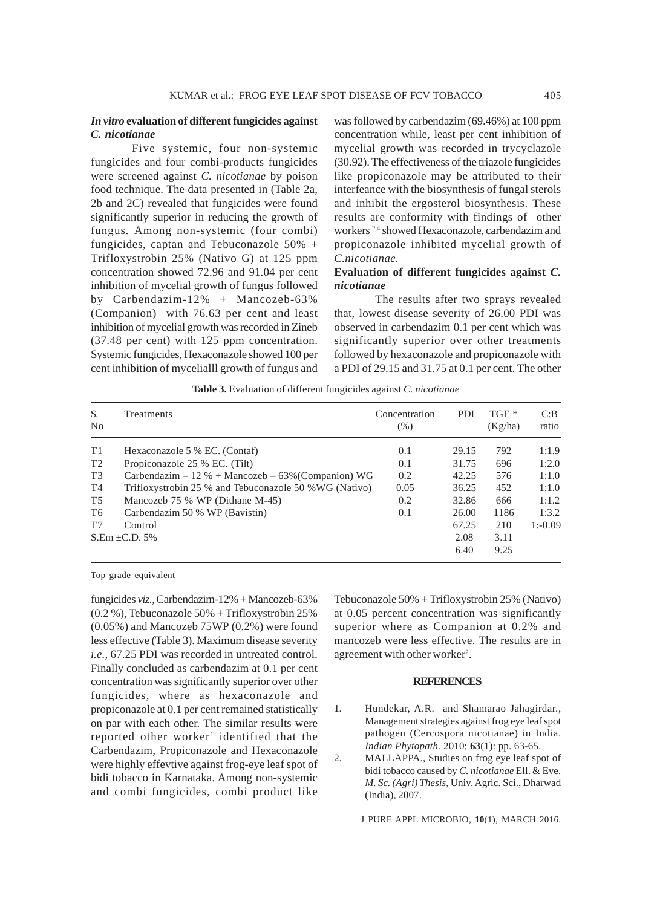#### *In vitro* **evaluation of different fungicides against** *C. nicotianae*

Five systemic, four non-systemic fungicides and four combi-products fungicides were screened against *C. nicotianae* by poison food technique. The data presented in (Table 2a, 2b and 2C) revealed that fungicides were found significantly superior in reducing the growth of fungus. Among non-systemic (four combi) fungicides, captan and Tebuconazole 50% + Trifloxystrobin 25% (Nativo G) at 125 ppm concentration showed 72.96 and 91.04 per cent inhibition of mycelial growth of fungus followed by Carbendazim-12% + Mancozeb-63% (Companion) with 76.63 per cent and least inhibition of mycelial growth was recorded in Zineb (37.48 per cent) with 125 ppm concentration. Systemic fungicides, Hexaconazole showed 100 per cent inhibition of mycelialll growth of fungus and was followed by carbendazim (69.46%) at 100 ppm concentration while, least per cent inhibition of mycelial growth was recorded in trycyclazole (30.92). The effectiveness of the triazole fungicides like propiconazole may be attributed to their interfeance with the biosynthesis of fungal sterols and inhibit the ergosterol biosynthesis. These results are conformity with findings of other workers 2,4 showed Hexaconazole, carbendazim and propiconazole inhibited mycelial growth of *C.nicotianae.*

# **Evaluation of different fungicides against** *C. nicotianae*

The results after two sprays revealed that, lowest disease severity of 26.00 PDI was observed in carbendazim 0.1 per cent which was significantly superior over other treatments followed by hexaconazole and propiconazole with a PDI of 29.15 and 31.75 at 0.1 per cent. The other

**Table 3.** Evaluation of different fungicides against *C. nicotianae*

| S.<br>N <sub>o</sub> | Treatments                                              | Concentration<br>(% ) | <b>PDI</b> | TGE <sup>*</sup><br>(Kg/ha) | C:B<br>ratio |
|----------------------|---------------------------------------------------------|-----------------------|------------|-----------------------------|--------------|
| T1                   | Hexaconazole 5 % EC. (Contaf)                           | 0.1                   | 29.15      | 792                         | 1:1.9        |
| T <sub>2</sub>       | Propiconazole 25 % EC. (Tilt)                           | 0.1                   | 31.75      | 696                         | 1:2.0        |
| T <sub>3</sub>       | Carbendazim – $12\%$ + Mancozeb – $63\%$ (Companion) WG | 0.2                   | 42.25      | 576                         | 1:1.0        |
| T4                   | Trifloxystrobin 25 % and Tebuconazole 50 % WG (Nativo)  | 0.05                  | 36.25      | 452                         | 1:1.0        |
| T5                   | Mancozeb 75 % WP (Dithane M-45)                         | 0.2                   | 32.86      | 666                         | 1:1.2        |
| T <sub>6</sub>       | Carbendazim 50 % WP (Bavistin)                          | 0.1                   | 26.00      | 1186                        | 1:3.2        |
| T7                   | Control                                                 |                       | 67.25      | 210                         | $1: -0.09$   |
|                      | $S.Em \pm C.D. 5\%$                                     |                       | 2.08       | 3.11                        |              |
|                      |                                                         |                       | 6.40       | 9.25                        |              |

Top grade equivalent

fungicides *viz.*, Carbendazim-12% + Mancozeb-63% (0.2 %), Tebuconazole 50% + Trifloxystrobin 25% (0.05%) and Mancozeb 75WP (0.2%) were found less effective (Table 3). Maximum disease severity *i.e.,* 67.25 PDI was recorded in untreated control. Finally concluded as carbendazim at 0.1 per cent concentration was significantly superior over other fungicides, where as hexaconazole and propiconazole at 0.1 per cent remained statistically on par with each other. The similar results were reported other worker<sup>1</sup> identified that the Carbendazim, Propiconazole and Hexaconazole were highly effevtive against frog-eye leaf spot of bidi tobacco in Karnataka. Among non-systemic and combi fungicides, combi product like Tebuconazole 50% + Trifloxystrobin 25% (Nativo) at 0.05 percent concentration was significantly superior where as Companion at 0.2% and mancozeb were less effective. The results are in agreement with other worker<sup>2</sup>.

#### **REFERENCES**

- 1. Hundekar, A.R. and Shamarao Jahagirdar., Management strategies against frog eye leaf spot pathogen (Cercospora nicotianae) in India. *Indian Phytopath.* 2010; **63**(1): pp. 63-65.
- 2. MALLAPPA., Studies on frog eye leaf spot of bidi tobacco caused by *C. nicotianae* Ell. & Eve. *M. Sc. (Agri) Thesis,* Univ. Agric. Sci., Dharwad (India), 2007.

J PURE APPL MICROBIO*,* **10**(1), MARCH 2016.